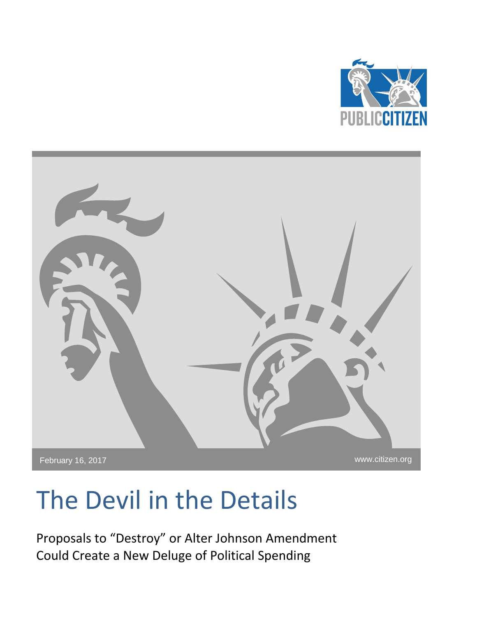



# The Devil in the Details

Proposals to "Destroy" or Alter Johnson Amendment Could Create a New Deluge of Political Spending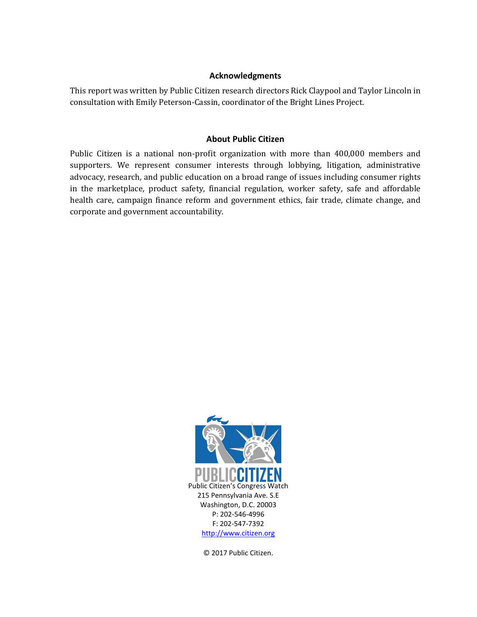### **Acknowledgments**

This report was written by Public Citizen research directors Rick Claypool and Taylor Lincoln in consultation with Emily Peterson-Cassin, coordinator of the Bright Lines Project.

# **About Public Citizen**

Public Citizen is a national non-profit organization with more than 400,000 members and supporters. We represent consumer interests through lobbying, litigation, administrative advocacy, research, and public education on a broad range of issues including consumer rights in the marketplace, product safety, financial regulation, worker safety, safe and affordable health care, campaign finance reform and government ethics, fair trade, climate change, and corporate and government accountability.



© 2017 Public Citizen.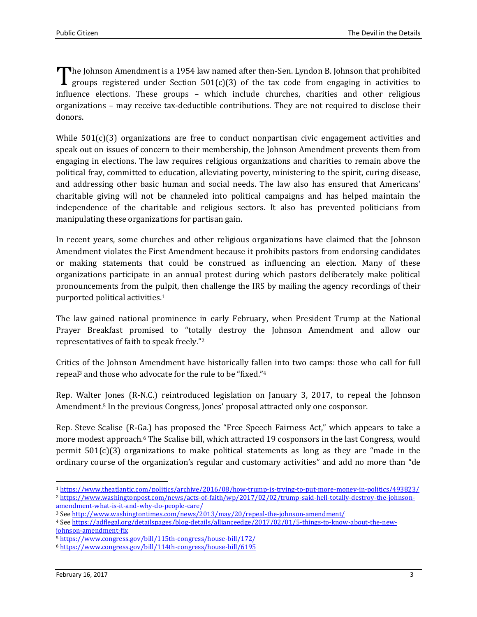The Johnson Amendment is a 1954 law named after then-Sen. Lyndon B. Johnson that prohibited groups registered under Section 501(c)(3) of the tax code from engaging in activities to groups registered under Section  $501(c)(3)$  of the tax code from engaging in activities to influence elections. These groups – which include churches, charities and other religious organizations – may receive tax-deductible contributions. They are not required to disclose their donors.

While  $501(c)(3)$  organizations are free to conduct nonpartisan civic engagement activities and speak out on issues of concern to their membership, the Johnson Amendment prevents them from engaging in elections. The law requires religious organizations and charities to remain above the political fray, committed to education, alleviating poverty, ministering to the spirit, curing disease, and addressing other basic human and social needs. The law also has ensured that Americans' charitable giving will not be channeled into political campaigns and has helped maintain the independence of the charitable and religious sectors. It also has prevented politicians from manipulating these organizations for partisan gain.

In recent years, some churches and other religious organizations have claimed that the Johnson Amendment violates the First Amendment because it prohibits pastors from endorsing candidates or making statements that could be construed as influencing an election. Many of these organizations participate in an annual protest during which pastors deliberately make political pronouncements from the pulpit, then challenge the IRS by mailing the agency recordings of their purported political activities.<sup>1</sup>

The law gained national prominence in early February, when President Trump at the National Prayer Breakfast promised to "totally destroy the Johnson Amendment and allow our representatives of faith to speak freely."<sup>2</sup>

Critics of the Johnson Amendment have historically fallen into two camps: those who call for full repeal<sup>3</sup> and those who advocate for the rule to be "fixed."<sup>4</sup>

Rep. Walter Jones (R-N.C.) reintroduced legislation on January 3, 2017, to repeal the Johnson Amendment.<sup>5</sup> In the previous Congress, Jones' proposal attracted only one cosponsor.

Rep. Steve Scalise (R-Ga.) has proposed the "Free Speech Fairness Act," which appears to take a more modest approach.<sup>6</sup> The Scalise bill, which attracted 19 cosponsors in the last Congress, would permit 501(c)(3) organizations to make political statements as long as they are "made in the ordinary course of the organization's regular and customary activities" and add no more than "de

 $\overline{\phantom{0}}$ <sup>1</sup> <https://www.theatlantic.com/politics/archive/2016/08/how-trump-is-trying-to-put-more-money-in-politics/493823/> <sup>2</sup> [https://www.washingtonpost.com/news/acts-of-faith/wp/2017/02/02/trump-said-hell-totally-destroy-the-johnson](https://www.washingtonpost.com/news/acts-of-faith/wp/2017/02/02/trump-said-hell-totally-destroy-the-johnson-amendment-what-is-it-and-why-do-people-care/)[amendment-what-is-it-and-why-do-people-care/](https://www.washingtonpost.com/news/acts-of-faith/wp/2017/02/02/trump-said-hell-totally-destroy-the-johnson-amendment-what-is-it-and-why-do-people-care/)

<sup>3</sup> Se[e http://www.washingtontimes.com/news/2013/may/20/repeal-the-johnson-amendment/](http://www.washingtontimes.com/news/2013/may/20/repeal-the-johnson-amendment/)

<sup>4</sup> Se[e https://adflegal.org/detailspages/blog-details/allianceedge/2017/02/01/5-things-to-know-about-the-new](https://adflegal.org/detailspages/blog-details/allianceedge/2017/02/01/5-things-to-know-about-the-new-johnson-amendment-fix)[johnson-amendment-fix](https://adflegal.org/detailspages/blog-details/allianceedge/2017/02/01/5-things-to-know-about-the-new-johnson-amendment-fix)

<sup>5</sup> <https://www.congress.gov/bill/115th-congress/house-bill/172/>

<sup>6</sup> <https://www.congress.gov/bill/114th-congress/house-bill/6195>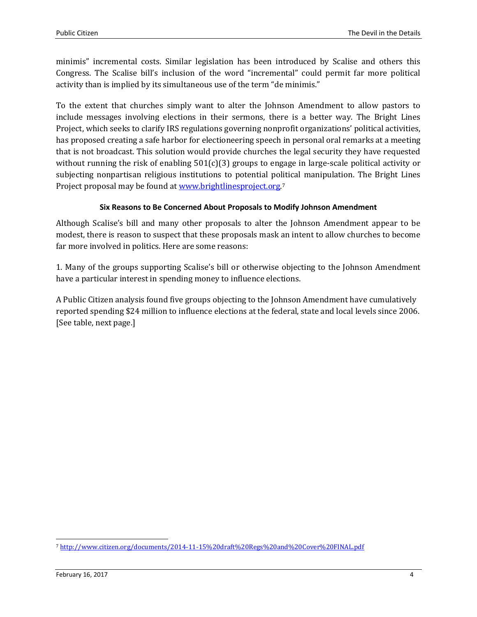minimis" incremental costs. Similar legislation has been introduced by Scalise and others this Congress. The Scalise bill's inclusion of the word "incremental" could permit far more political activity than is implied by its simultaneous use of the term "de minimis."

To the extent that churches simply want to alter the Johnson Amendment to allow pastors to include messages involving elections in their sermons, there is a better way. The Bright Lines Project, which seeks to clarify IRS regulations governing nonprofit organizations' political activities, has proposed creating a safe harbor for electioneering speech in personal oral remarks at a meeting that is not broadcast. This solution would provide churches the legal security they have requested without running the risk of enabling  $501(c)(3)$  groups to engage in large-scale political activity or subjecting nonpartisan religious institutions to potential political manipulation. The Bright Lines Project proposal may be found a[t www.brightlinesproject.org.](http://www.brightlinesproject.org/)<sup>7</sup>

# **Six Reasons to Be Concerned About Proposals to Modify Johnson Amendment**

Although Scalise's bill and many other proposals to alter the Johnson Amendment appear to be modest, there is reason to suspect that these proposals mask an intent to allow churches to become far more involved in politics. Here are some reasons:

1. Many of the groups supporting Scalise's bill or otherwise objecting to the Johnson Amendment have a particular interest in spending money to influence elections.

A Public Citizen analysis found five groups objecting to the Johnson Amendment have cumulatively reported spending \$24 million to influence elections at the federal, state and local levels since 2006. [See table, next page.]

 $\overline{\phantom{0}}$ 

<sup>7</sup> <http://www.citizen.org/documents/2014-11-15%20draft%20Regs%20and%20Cover%20FINAL.pdf>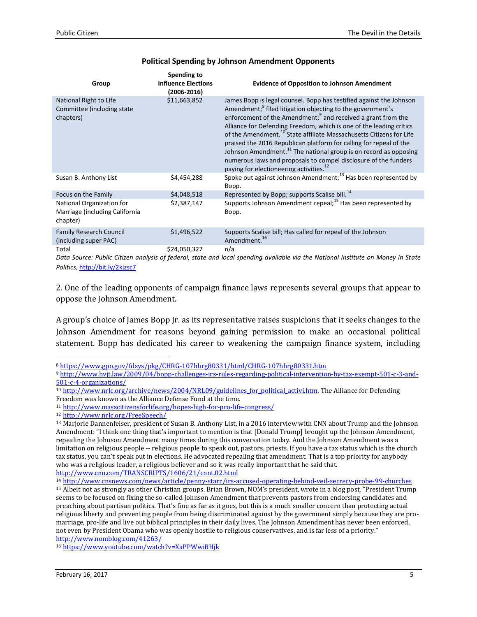| Group                                                                   | Spending to<br><b>Influence Elections</b><br>$(2006 - 2016)$ | <b>Evidence of Opposition to Johnson Amendment</b>                                                                                                                                                                                                                                                                                                                                                                                                                                                                                                                                                                                                                  |
|-------------------------------------------------------------------------|--------------------------------------------------------------|---------------------------------------------------------------------------------------------------------------------------------------------------------------------------------------------------------------------------------------------------------------------------------------------------------------------------------------------------------------------------------------------------------------------------------------------------------------------------------------------------------------------------------------------------------------------------------------------------------------------------------------------------------------------|
| National Right to Life<br>Committee (including state)<br>chapters)      | \$11,663,852                                                 | James Bopp is legal counsel. Bopp has testified against the Johnson<br>Amendment; <sup>8</sup> filed litigation objecting to the government's<br>enforcement of the Amendment; <sup>9</sup> and received a grant from the<br>Alliance for Defending Freedom, which is one of the leading critics<br>of the Amendment. <sup>10</sup> State affiliate Massachusetts Citizens for Life<br>praised the 2016 Republican platform for calling for repeal of the<br>Johnson Amendment. <sup>11</sup> The national group is on record as opposing<br>numerous laws and proposals to compel disclosure of the funders<br>paying for electioneering activities. <sup>12</sup> |
| Susan B. Anthony List                                                   | \$4,454,288                                                  | Spoke out against Johnson Amendment; $^{13}$ Has been represented by<br>Bopp.                                                                                                                                                                                                                                                                                                                                                                                                                                                                                                                                                                                       |
| Focus on the Family                                                     | \$4,048,518                                                  | Represented by Bopp; supports Scalise bill. <sup>14</sup>                                                                                                                                                                                                                                                                                                                                                                                                                                                                                                                                                                                                           |
| National Organization for<br>Marriage (including California<br>chapter) | \$2,387,147                                                  | Supports Johnson Amendment repeal; <sup>15</sup> Has been represented by<br>Bopp.                                                                                                                                                                                                                                                                                                                                                                                                                                                                                                                                                                                   |
| <b>Family Research Council</b><br>(including super PAC)                 | \$1,496,522                                                  | Supports Scalise bill; Has called for repeal of the Johnson<br>Amendment. <sup>16</sup>                                                                                                                                                                                                                                                                                                                                                                                                                                                                                                                                                                             |
| Total                                                                   | \$24,050,327                                                 | n/a                                                                                                                                                                                                                                                                                                                                                                                                                                                                                                                                                                                                                                                                 |

#### **Political Spending by Johnson Amendment Opponents**

*Data Source: Public Citizen analysis of federal, state and local spending available via the National Institute on Money in State Politics,* <http://bit.ly/2kjzsc7>

2. One of the leading opponents of campaign finance laws represents several groups that appear to oppose the Johnson Amendment.

A group's choice of James Bopp Jr. as its representative raises suspicions that it seeks changes to the Johnson Amendment for reasons beyond gaining permission to make an occasional political statement. Bopp has dedicated his career to weakening the campaign finance system, including

 $\overline{\phantom{0}}$ <sup>8</sup> <https://www.gpo.gov/fdsys/pkg/CHRG-107hhrg80331/html/CHRG-107hhrg80331.htm>

<sup>9</sup> [http://www.hvjt.law/2009/04/bopp-challenges-irs-rules-regarding-political-intervention-by-tax-exempt-501-c-3-and-](http://www.hvjt.law/2009/04/bopp-challenges-irs-rules-regarding-political-intervention-by-tax-exempt-501-c-3-and-501-c-4-organizations/)[501-c-4-organizations/](http://www.hvjt.law/2009/04/bopp-challenges-irs-rules-regarding-political-intervention-by-tax-exempt-501-c-3-and-501-c-4-organizations/)

<sup>10</sup> [http://www.nrlc.org/archive/news/2004/NRL09/guidelines\\_for\\_political\\_activi.htm.](http://www.nrlc.org/archive/news/2004/NRL09/guidelines_for_political_activi.htm) The Alliance for Defending Freedom was known as the Alliance Defense Fund at the time.

<sup>11</sup> <http://www.masscitizensforlife.org/hopes-high-for-pro-life-congress/>

<sup>12</sup> <http://www.nrlc.org/FreeSpeech/>

<sup>13</sup> Marjorie Dannenfelser, president of Susan B. Anthony List, in a 2016 interview with CNN about Trump and the Johnson Amendment: "I think one thing that's important to mention is that [Donald Trump] brought up the Johnson Amendment, repealing the Johnson Amendment many times during this conversation today. And the Johnson Amendment was a limitation on religious people -- religious people to speak out, pastors, priests. If you have a tax status which is the church tax status, you can't speak out in elections. He advocated repealing that amendment. That is a top priority for anybody who was a religious leader, a religious believer and so it was really important that he said that. <http://www.cnn.com/TRANSCRIPTS/1606/21/cnnt.02.html>

<sup>14</sup> <http://www.cnsnews.com/news/article/penny-starr/irs-accused-operating-behind-veil-secrecy-probe-99-churches>

<sup>15</sup> Albeit not as strongly as other Christian groups. Brian Brown, NOM's president, wrote in a blog post, "President Trump seems to be focused on fixing the so-called Johnson Amendment that prevents pastors from endorsing candidates and preaching about partisan politics. That's fine as far as it goes, but this is a much smaller concern than protecting actual religious liberty and preventing people from being discriminated against by the government simply because they are promarriage, pro-life and live out biblical principles in their daily lives. The Johnson Amendment has never been enforced, not even by President Obama who was openly hostile to religious conservatives, and is far less of a priority." <http://www.nomblog.com/41263/>

<sup>16</sup> <https://www.youtube.com/watch?v=XaPPWwiBHjk>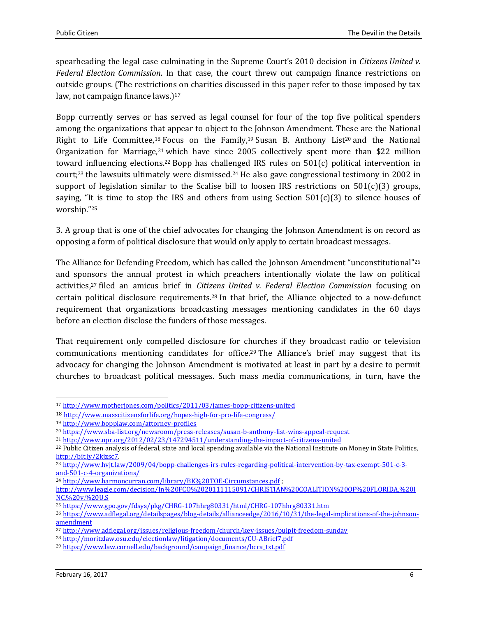spearheading the legal case culminating in the Supreme Court's 2010 decision in *Citizens United v. Federal Election Commission*. In that case, the court threw out campaign finance restrictions on outside groups. (The restrictions on charities discussed in this paper refer to those imposed by tax law, not campaign finance laws.)<sup>17</sup>

Bopp currently serves or has served as legal counsel for four of the top five political spenders among the organizations that appear to object to the Johnson Amendment. These are the National Right to Life Committee,<sup>18</sup> Focus on the Family,<sup>19</sup> Susan B. Anthony List<sup>20</sup> and the National Organization for Marriage,<sup>21</sup> which have since 2005 collectively spent more than \$22 million toward influencing elections.<sup>22</sup> Bopp has challenged IRS rules on 501(c) political intervention in court;<sup>23</sup> the lawsuits ultimately were dismissed.<sup>24</sup> He also gave congressional testimony in 2002 in support of legislation similar to the Scalise bill to loosen IRS restrictions on  $501(c)(3)$  groups, saying, "It is time to stop the IRS and others from using Section  $501(c)(3)$  to silence houses of worship."<sup>25</sup>

3. A group that is one of the chief advocates for changing the Johnson Amendment is on record as opposing a form of political disclosure that would only apply to certain broadcast messages.

The Alliance for Defending Freedom, which has called the Johnson Amendment "unconstitutional"<sup>26</sup> and sponsors the annual protest in which preachers intentionally violate the law on political activities,<sup>27</sup> filed an amicus brief in *Citizens United v. Federal Election Commission* focusing on certain political disclosure requirements. <sup>28</sup> In that brief, the Alliance objected to a now-defunct requirement that organizations broadcasting messages mentioning candidates in the 60 days before an election disclose the funders of those messages.

That requirement only compelled disclosure for churches if they broadcast radio or television communications mentioning candidates for office.<sup>29</sup> The Alliance's brief may suggest that its advocacy for changing the Johnson Amendment is motivated at least in part by a desire to permit churches to broadcast political messages. Such mass media communications, in turn, have the

l

<sup>17</sup> <http://www.motherjones.com/politics/2011/03/james-bopp-citizens-united>

<sup>18</sup> <http://www.masscitizensforlife.org/hopes-high-for-pro-life-congress/>

<sup>19</sup> <http://www.bopplaw.com/attorney-profiles>

<sup>20</sup> <https://www.sba-list.org/newsroom/press-releases/susan-b-anthony-list-wins-appeal-request>

<sup>21</sup> <http://www.npr.org/2012/02/23/147294511/understanding-the-impact-of-citizens-united>

<sup>22</sup> Public Citizen analysis of federal, state and local spending available via the National Institute on Money in State Politics, [http://bit.ly/2kjzsc7.](http://bit.ly/2kjzsc7)

<sup>23</sup> [http://www.hvjt.law/2009/04/bopp-challenges-irs-rules-regarding-political-intervention-by-tax-exempt-501-c-3](http://www.hvjt.law/2009/04/bopp-challenges-irs-rules-regarding-political-intervention-by-tax-exempt-501-c-3-and-501-c-4-organizations/) [and-501-c-4-organizations/](http://www.hvjt.law/2009/04/bopp-challenges-irs-rules-regarding-political-intervention-by-tax-exempt-501-c-3-and-501-c-4-organizations/)

<sup>24</sup> <http://www.harmoncurran.com/library/BK%20TOE-Circumstances.pdf> ;

[http://www.leagle.com/decision/In%20FCO%2020111115091/CHRISTIAN%20COALITION%20OF%20FLORIDA,%20I](http://www.leagle.com/decision/In%20FCO%2020111115091/CHRISTIAN%20COALITION%20OF%20FLORIDA,%20INC.%20v.%20U.S) [NC.%20v.%20U.S](http://www.leagle.com/decision/In%20FCO%2020111115091/CHRISTIAN%20COALITION%20OF%20FLORIDA,%20INC.%20v.%20U.S)

<sup>25</sup> <https://www.gpo.gov/fdsys/pkg/CHRG-107hhrg80331/html/CHRG-107hhrg80331.htm>

<sup>26</sup> [https://www.adflegal.org/detailspages/blog-details/allianceedge/2016/10/31/the-legal-implications-of-the-johnson](https://www.adflegal.org/detailspages/blog-details/allianceedge/2016/10/31/the-legal-implications-of-the-johnson-amendment)[amendment](https://www.adflegal.org/detailspages/blog-details/allianceedge/2016/10/31/the-legal-implications-of-the-johnson-amendment)

<sup>27</sup> <http://www.adflegal.org/issues/religious-freedom/church/key-issues/pulpit-freedom-sunday>

<sup>28</sup> <http://moritzlaw.osu.edu/electionlaw/litigation/documents/CU-ABrief7.pdf>

<sup>29</sup> [https://www.law.cornell.edu/background/campaign\\_finance/bcra\\_txt.pdf](https://www.law.cornell.edu/background/campaign_finance/bcra_txt.pdf)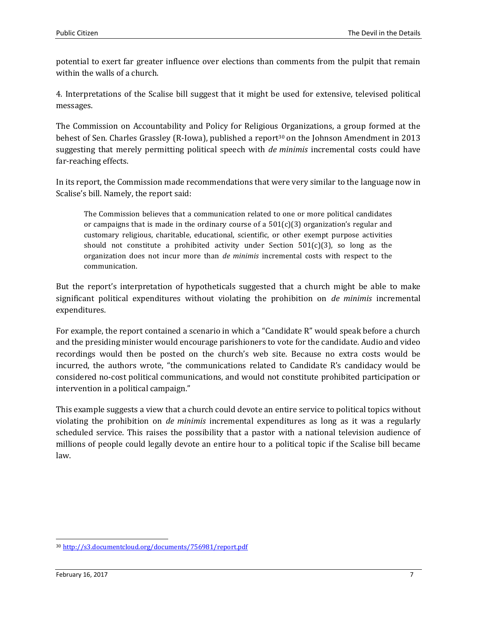potential to exert far greater influence over elections than comments from the pulpit that remain within the walls of a church.

4. Interpretations of the Scalise bill suggest that it might be used for extensive, televised political messages.

The Commission on Accountability and Policy for Religious Organizations, a group formed at the behest of Sen. Charles Grassley (R-Iowa), published a report<sup>30</sup> on the Johnson Amendment in 2013 suggesting that merely permitting political speech with *de minimis* incremental costs could have far-reaching effects.

In its report, the Commission made recommendations that were very similar to the language now in Scalise's bill. Namely, the report said:

The Commission believes that a communication related to one or more political candidates or campaigns that is made in the ordinary course of a  $501(c)(3)$  organization's regular and customary religious, charitable, educational, scientific, or other exempt purpose activities should not constitute a prohibited activity under Section  $501(c)(3)$ , so long as the organization does not incur more than *de minimis* incremental costs with respect to the communication.

But the report's interpretation of hypotheticals suggested that a church might be able to make significant political expenditures without violating the prohibition on *de minimis* incremental expenditures.

For example, the report contained a scenario in which a "Candidate R" would speak before a church and the presiding minister would encourage parishioners to vote for the candidate. Audio and video recordings would then be posted on the church's web site. Because no extra costs would be incurred, the authors wrote, "the communications related to Candidate R's candidacy would be considered no-cost political communications, and would not constitute prohibited participation or intervention in a political campaign."

This example suggests a view that a church could devote an entire service to political topics without violating the prohibition on *de minimis* incremental expenditures as long as it was a regularly scheduled service. This raises the possibility that a pastor with a national television audience of millions of people could legally devote an entire hour to a political topic if the Scalise bill became law.

 $\overline{\phantom{0}}$ 

<sup>30</sup> <http://s3.documentcloud.org/documents/756981/report.pdf>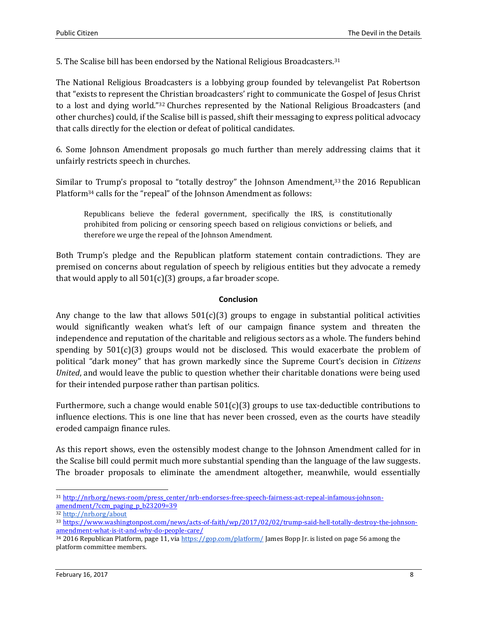5. The Scalise bill has been endorsed by the National Religious Broadcasters.<sup>31</sup>

The National Religious Broadcasters is a lobbying group founded by televangelist Pat Robertson that "exists to represent the Christian broadcasters' right to communicate the Gospel of Jesus Christ to a lost and dying world."<sup>32</sup> Churches represented by the National Religious Broadcasters (and other churches) could, if the Scalise bill is passed, shift their messaging to express political advocacy that calls directly for the election or defeat of political candidates.

6. Some Johnson Amendment proposals go much further than merely addressing claims that it unfairly restricts speech in churches.

Similar to Trump's proposal to "totally destroy" the Johnson Amendment,<sup>33</sup> the 2016 Republican Platform<sup>34</sup> calls for the "repeal" of the Johnson Amendment as follows:

Republicans believe the federal government, specifically the IRS, is constitutionally prohibited from policing or censoring speech based on religious convictions or beliefs, and therefore we urge the repeal of the Johnson Amendment.

Both Trump's pledge and the Republican platform statement contain contradictions. They are premised on concerns about regulation of speech by religious entities but they advocate a remedy that would apply to all  $501(c)(3)$  groups, a far broader scope.

### **Conclusion**

Any change to the law that allows  $501(c)(3)$  groups to engage in substantial political activities would significantly weaken what's left of our campaign finance system and threaten the independence and reputation of the charitable and religious sectors as a whole. The funders behind spending by  $501(c)(3)$  groups would not be disclosed. This would exacerbate the problem of political "dark money" that has grown markedly since the Supreme Court's decision in *Citizens United*, and would leave the public to question whether their charitable donations were being used for their intended purpose rather than partisan politics.

Furthermore, such a change would enable  $501(c)(3)$  groups to use tax-deductible contributions to influence elections. This is one line that has never been crossed, even as the courts have steadily eroded campaign finance rules.

As this report shows, even the ostensibly modest change to the Johnson Amendment called for in the Scalise bill could permit much more substantial spending than the language of the law suggests. The broader proposals to eliminate the amendment altogether, meanwhile, would essentially

l

<sup>31</sup> [http://nrb.org/news-room/press\\_center/nrb-endorses-free-speech-fairness-act-repeal-infamous-johnson](http://nrb.org/news-room/press_center/nrb-endorses-free-speech-fairness-act-repeal-infamous-johnson-amendment/?ccm_paging_p_b23209=39)[amendment/?ccm\\_paging\\_p\\_b23209=39](http://nrb.org/news-room/press_center/nrb-endorses-free-speech-fairness-act-repeal-infamous-johnson-amendment/?ccm_paging_p_b23209=39)

<sup>32</sup> <http://nrb.org/about>

<sup>33</sup> [https://www.washingtonpost.com/news/acts-of-faith/wp/2017/02/02/trump-said-hell-totally-destroy-the-johnson](https://www.washingtonpost.com/news/acts-of-faith/wp/2017/02/02/trump-said-hell-totally-destroy-the-johnson-amendment-what-is-it-and-why-do-people-care/)[amendment-what-is-it-and-why-do-people-care/](https://www.washingtonpost.com/news/acts-of-faith/wp/2017/02/02/trump-said-hell-totally-destroy-the-johnson-amendment-what-is-it-and-why-do-people-care/)

<sup>34 2016</sup> Republican Platform, page 11, vi[a https://gop.com/platform/](https://gop.com/platform/) James Bopp Jr. is listed on page 56 among the platform committee members.